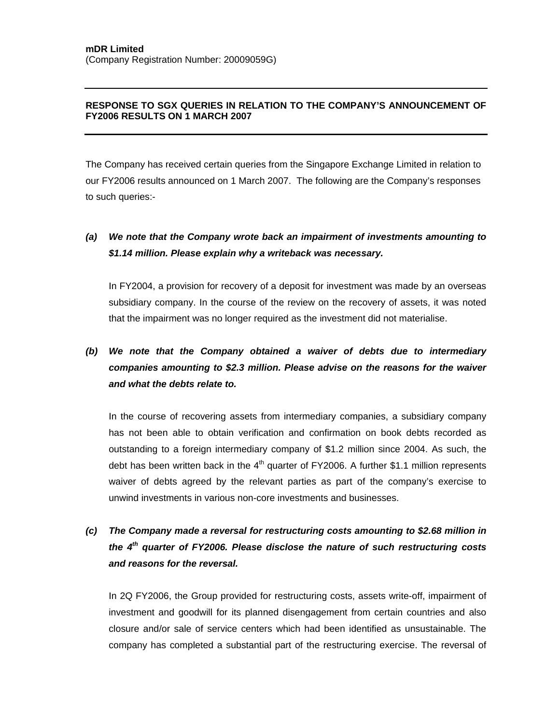## **RESPONSE TO SGX QUERIES IN RELATION TO THE COMPANY'S ANNOUNCEMENT OF FY2006 RESULTS ON 1 MARCH 2007**

The Company has received certain queries from the Singapore Exchange Limited in relation to our FY2006 results announced on 1 March 2007. The following are the Company's responses to such queries:-

## *(a) We note that the Company wrote back an impairment of investments amounting to \$1.14 million. Please explain why a writeback was necessary.*

In FY2004, a provision for recovery of a deposit for investment was made by an overseas subsidiary company. In the course of the review on the recovery of assets, it was noted that the impairment was no longer required as the investment did not materialise.

## *(b) We note that the Company obtained a waiver of debts due to intermediary companies amounting to \$2.3 million. Please advise on the reasons for the waiver and what the debts relate to.*

In the course of recovering assets from intermediary companies, a subsidiary company has not been able to obtain verification and confirmation on book debts recorded as outstanding to a foreign intermediary company of \$1.2 million since 2004. As such, the debt has been written back in the  $4<sup>th</sup>$  quarter of FY2006. A further \$1.1 million represents waiver of debts agreed by the relevant parties as part of the company's exercise to unwind investments in various non-core investments and businesses.

## *(c) The Company made a reversal for restructuring costs amounting to \$2.68 million in the 4th quarter of FY2006. Please disclose the nature of such restructuring costs and reasons for the reversal.*

In 2Q FY2006, the Group provided for restructuring costs, assets write-off, impairment of investment and goodwill for its planned disengagement from certain countries and also closure and/or sale of service centers which had been identified as unsustainable. The company has completed a substantial part of the restructuring exercise. The reversal of